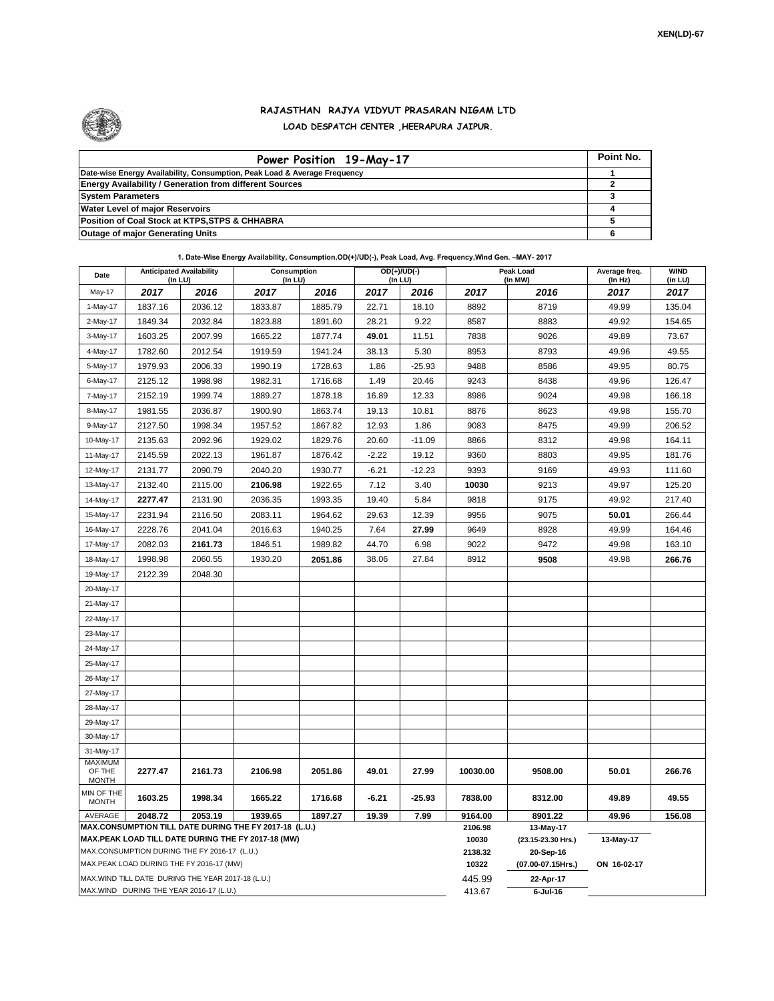

## **RAJASTHAN RAJYA VIDYUT PRASARAN NIGAM LTD LOAD DESPATCH CENTER ,HEERAPURA JAIPUR.**

| Power Position 19-May-17                                                  | Point No. |
|---------------------------------------------------------------------------|-----------|
| Date-wise Energy Availability, Consumption, Peak Load & Average Frequency |           |
| <b>Energy Availability / Generation from different Sources</b>            |           |
| <b>System Parameters</b>                                                  |           |
| <b>Water Level of major Reservoirs</b>                                    |           |
| Position of Coal Stock at KTPS, STPS & CHHABRA                            |           |
| <b>Outage of major Generating Units</b>                                   |           |

**1. Date-Wise Energy Availability, Consumption,OD(+)/UD(-), Peak Load, Avg. Frequency,Wind Gen. –MAY- 2017**

| Date                                                                                                         | <b>Anticipated Availability</b><br>(In LU) |         | Consumption<br>(In LU) |         | OD(+)/UD(-)<br>(In LU) |          |                    | Peak Load<br>(In MW)            | Average freq.<br>(In Hz) | <b>WIND</b><br>(in LU) |  |  |
|--------------------------------------------------------------------------------------------------------------|--------------------------------------------|---------|------------------------|---------|------------------------|----------|--------------------|---------------------------------|--------------------------|------------------------|--|--|
| May-17                                                                                                       | 2017                                       | 2016    | 2017                   | 2016    | 2017                   | 2016     | 2017               | 2016                            | 2017                     | 2017                   |  |  |
| 1-May-17                                                                                                     | 1837.16                                    | 2036.12 | 1833.87                | 1885.79 | 22.71                  | 18.10    | 8892               | 8719                            | 49.99                    | 135.04                 |  |  |
| 2-May-17                                                                                                     | 1849.34                                    | 2032.84 | 1823.88                | 1891.60 | 28.21                  | 9.22     | 8587               | 8883                            | 49.92                    | 154.65                 |  |  |
| 3-May-17                                                                                                     | 1603.25                                    | 2007.99 | 1665.22                | 1877.74 | 49.01                  | 11.51    | 7838               | 9026                            | 49.89                    | 73.67                  |  |  |
| 4-May-17                                                                                                     | 1782.60                                    | 2012.54 | 1919.59                | 1941.24 | 38.13                  | 5.30     | 8953               | 8793                            | 49.96                    | 49.55                  |  |  |
| 5-May-17                                                                                                     | 1979.93                                    | 2006.33 | 1990.19                | 1728.63 | 1.86                   | $-25.93$ | 9488               | 8586                            | 49.95                    | 80.75                  |  |  |
| 6-May-17                                                                                                     | 2125.12                                    | 1998.98 | 1982.31                | 1716.68 | 1.49                   | 20.46    | 9243               | 8438                            | 49.96                    | 126.47                 |  |  |
| 7-May-17                                                                                                     | 2152.19                                    | 1999.74 | 1889.27                | 1878.18 | 16.89                  | 12.33    | 8986               | 9024                            | 49.98                    | 166.18                 |  |  |
| 8-May-17                                                                                                     | 1981.55                                    | 2036.87 | 1900.90                | 1863.74 | 19.13                  | 10.81    | 8876               | 8623                            | 49.98                    | 155.70                 |  |  |
| 9-May-17                                                                                                     | 2127.50                                    | 1998.34 | 1957.52                | 1867.82 | 12.93                  | 1.86     | 9083               | 8475                            | 49.99                    | 206.52                 |  |  |
| 10-May-17                                                                                                    | 2135.63                                    | 2092.96 | 1929.02                | 1829.76 | 20.60                  | $-11.09$ | 8866               | 8312                            | 49.98                    | 164.11                 |  |  |
| 11-May-17                                                                                                    | 2145.59                                    | 2022.13 | 1961.87                | 1876.42 | $-2.22$                | 19.12    | 9360               | 8803                            | 49.95                    | 181.76                 |  |  |
| 12-May-17                                                                                                    | 2131.77                                    | 2090.79 | 2040.20                | 1930.77 | $-6.21$                | $-12.23$ | 9393               | 9169                            | 49.93                    | 111.60                 |  |  |
| 13-May-17                                                                                                    | 2132.40                                    | 2115.00 | 2106.98                | 1922.65 | 7.12                   | 3.40     | 10030              | 9213                            | 49.97                    | 125.20                 |  |  |
| 14-May-17                                                                                                    | 2277.47                                    | 2131.90 | 2036.35                | 1993.35 | 19.40                  | 5.84     | 9818               | 9175                            | 49.92                    | 217.40                 |  |  |
| 15-May-17                                                                                                    | 2231.94                                    | 2116.50 | 2083.11                | 1964.62 | 29.63                  | 12.39    | 9956               | 9075                            | 50.01                    | 266.44                 |  |  |
| 16-May-17                                                                                                    | 2228.76                                    | 2041.04 | 2016.63                | 1940.25 | 7.64                   | 27.99    | 9649               | 8928                            | 49.99                    | 164.46                 |  |  |
| 17-May-17                                                                                                    | 2082.03                                    | 2161.73 | 1846.51                | 1989.82 | 44.70                  | 6.98     | 9022               | 9472                            | 49.98                    | 163.10                 |  |  |
| 18-May-17                                                                                                    | 1998.98                                    | 2060.55 | 1930.20                | 2051.86 | 38.06                  | 27.84    | 8912               | 9508                            | 49.98                    | 266.76                 |  |  |
| 19-May-17                                                                                                    | 2122.39                                    | 2048.30 |                        |         |                        |          |                    |                                 |                          |                        |  |  |
| 20-May-17                                                                                                    |                                            |         |                        |         |                        |          |                    |                                 |                          |                        |  |  |
| 21-May-17                                                                                                    |                                            |         |                        |         |                        |          |                    |                                 |                          |                        |  |  |
| 22-May-17                                                                                                    |                                            |         |                        |         |                        |          |                    |                                 |                          |                        |  |  |
| 23-May-17                                                                                                    |                                            |         |                        |         |                        |          |                    |                                 |                          |                        |  |  |
| 24-May-17                                                                                                    |                                            |         |                        |         |                        |          |                    |                                 |                          |                        |  |  |
| 25-May-17                                                                                                    |                                            |         |                        |         |                        |          |                    |                                 |                          |                        |  |  |
| 26-May-17                                                                                                    |                                            |         |                        |         |                        |          |                    |                                 |                          |                        |  |  |
| 27-May-17                                                                                                    |                                            |         |                        |         |                        |          |                    |                                 |                          |                        |  |  |
| 28-May-17                                                                                                    |                                            |         |                        |         |                        |          |                    |                                 |                          |                        |  |  |
| 29-May-17                                                                                                    |                                            |         |                        |         |                        |          |                    |                                 |                          |                        |  |  |
| 30-May-17                                                                                                    |                                            |         |                        |         |                        |          |                    |                                 |                          |                        |  |  |
| 31-May-17                                                                                                    |                                            |         |                        |         |                        |          |                    |                                 |                          |                        |  |  |
| <b>MAXIMUM</b><br>OF THE                                                                                     | 2277.47                                    | 2161.73 | 2106.98                | 2051.86 | 49.01                  | 27.99    | 10030.00           | 9508.00                         | 50.01                    | 266.76                 |  |  |
| <b>MONTH</b>                                                                                                 |                                            |         |                        |         |                        |          |                    |                                 |                          |                        |  |  |
| MIN OF THE<br><b>MONTH</b>                                                                                   | 1603.25                                    | 1998.34 | 1665.22                | 1716.68 | $-6.21$                | $-25.93$ | 7838.00<br>9164.00 | 8312.00                         | 49.89                    | 49.55                  |  |  |
| AVERAGE<br>2048.72<br>2053.19<br>1939.65<br>1897.27<br>19.39<br>7.99                                         |                                            |         |                        |         |                        |          |                    | 8901.22                         | 49.96<br>156.08          |                        |  |  |
| MAX.CONSUMPTION TILL DATE DURING THE FY 2017-18 (L.U.)<br>MAX.PEAK LOAD TILL DATE DURING THE FY 2017-18 (MW) |                                            |         |                        |         |                        |          |                    | 13-May-17<br>(23.15-23.30 Hrs.) | 13-May-17                |                        |  |  |
| MAX.CONSUMPTION DURING THE FY 2016-17 (L.U.)                                                                 |                                            |         |                        |         |                        |          |                    | 20-Sep-16                       |                          |                        |  |  |
| MAX.PEAK LOAD DURING THE FY 2016-17 (MW)                                                                     |                                            |         |                        |         |                        |          | 2138.32<br>10322   | (07.00-07.15Hrs.)               | ON 16-02-17              |                        |  |  |
| MAX. WIND TILL DATE DURING THE YEAR 2017-18 (L.U.)                                                           |                                            |         |                        |         |                        |          | 445.99             | 22-Apr-17                       |                          |                        |  |  |
| MAX.WIND DURING THE YEAR 2016-17 (L.U.)                                                                      |                                            |         |                        |         |                        |          |                    | $6$ -Jul-16                     |                          |                        |  |  |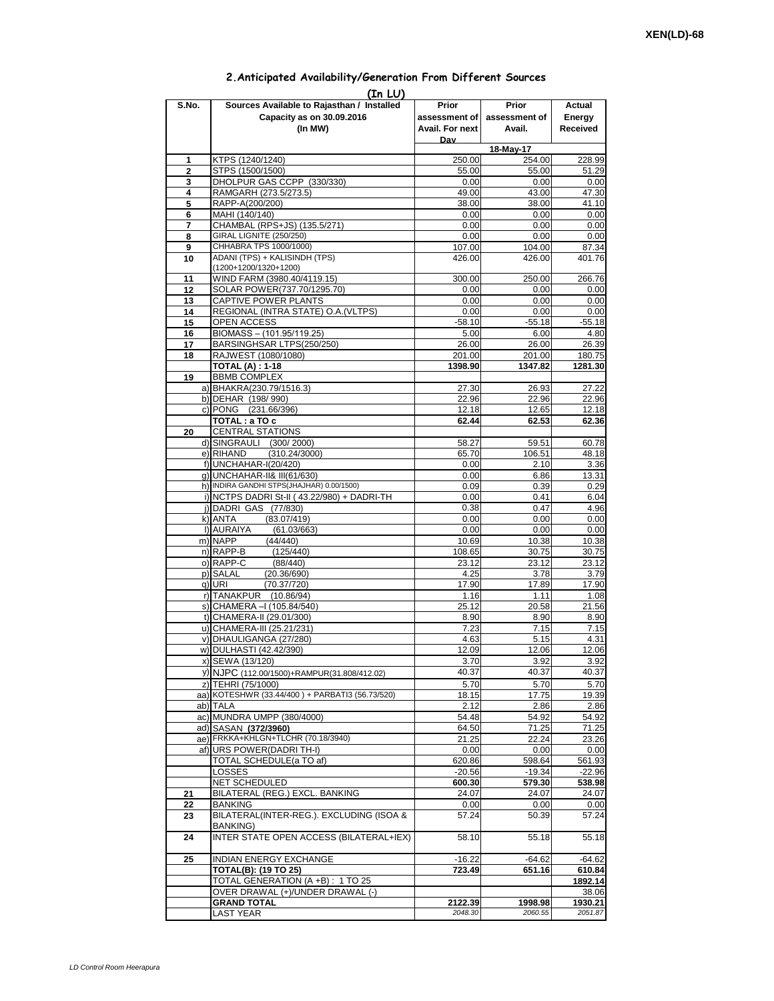## **Prior assessment of Avail. For next Day Prior assessment of Avail. Actual Energy Received 1** KTPS (1240/1240) 250.00 254.00 228.99 **2** STPS (1500/1500) 55.00 55.00 51.29 **3** DHOLPUR GAS CCPP (330/330) 0.00 0.00 0.00 0.00<br>**4** RAMGARH (273.5/273.5) 49.00 43.00 47.30 **4** RAMGARH (273.5/273.5)<br>**5** RAPP-A(200/200) **5** RAPP-A(200/200) 38.00 38.00 41.10 **6** MAHI (140/140) 0.00 7 CHAMBAL (RPS+JS) (135.5/271) 0.00 0.00 0.00 0.00<br>
8 GIRAL LIGNITE (250/250) 0.00 0.00 0.00 0.00 **8** GIRAL LIGNITE (250/250) 0.00 **9** CHHABRA TPS 1000/1000) **107.00** 107.00 104.00 87.34 **10** ADANI (TPS) + KALISINDH (TPS) (1200+1200/1320+1200) 426.00 426.00 401.76 11 WIND FARM (3980.40/4119.15) 300.00 250.00 266.76<br>12 SOLAR POWER(737.70/1295.70) 0.00 0.00 0.00 0.00 **12** SOLAR POWER(737.70/1295.70) 0.00 0.00 0.00 13 CAPTIVE POWER PLANTS 13 0.00 0.00 14 REGIONAL (INTRA STATE) O.A.(VLTPS)  $\begin{array}{|c|c|c|c|c|c|c|c|} \hline 0.000 & 0.000 & 0.000\end{array}$  0.00 **15** OPEN ACCESS -58.10 -55.18 -55.18 **16** BIOMASS – (101.95/119.25) 5.00 6.00 **17** BARSINGHSAR LTPS(250/250) 26.00 26.00 26.39 18 RAJWEST (1080/1080) 201.00 201.00 201.00 180.75<br>TOTAL (A) : 1-18 **1080** 1398.90 1347.82 1281.30 **TOTAL (A) : 1-18 19** BBMB COMPLEX a) BHAKRA(230.79/1516.3) 27.30 26.93 27.22 b) DEHAR (198/ 990) 22.96 22.96 22.96 c) PONG (231.66/396) 12.18 12.18 12.65 12.18 **TOTAL : a TO c 62.44 62.53 62.36 20** CENTRAL STATIONS d) SINGRAULI (300/2000) 58.27 59.51 60.78<br>e) RIHAND (310.24/3000) 65.70 106.51 48.18 e) RIHAND (310.24/3000) 65.70 106.51 48.18<br>1) DINCHAHAR-I(20/420) 6.00 2.10 3.36  $f)$ UNCHAHAR-I(20/420) g) UNCHAHAR-II& III(61/630) **12.12 13.31** 0.00 6.86 13.31 h) INDIRA GANDHI STPS(JHAJHAR) 0.00/1500)  $\begin{array}{|c|c|c|c|c|c|c|c|c|} \hline \rule{0pt}{12pt} & 0.09 & 0.39 & 0.29 \ \hline \end{array}$ i) NCTPS DADRI St-II (43.22/980) + DADRI-TH 0.00 0.00 0.41 6.04<br>i) DADRI GAS (77/830) 0.38 0.47 4.96 j) DADRI GAS (77/830) k) ANTA (83.07/419) 0.00 0.00 0.00 0.00 l) AURAIYA (61.03/663) 0.00 0.00 0.00 0.00<br>m) NAPP (44/440) 10.69 10.38 10.38 m) NAPP (44/440) 10.69 10.38 10.38 n)|RAPP-B (125/440) | 108.65| 30.75| 30.75 o) RAPP-C (88/440) 23.12 23.12 23.12 p) SALAL (20.36/690) 4.25 3.78 3.79  $(70.37/720)$ r) TANAKPUR (10.86/94) 1.16 1.11 1.08 s) CHAMERA –I (105.84/540) 25.12 20.58 21.56 t) CHAMERA-II (29.01/300) 8.90 8.90 8.90 u) CHAMERA-III (25.21/231) 7.23 7.15 v) DHAULIGANGA (27/280) 4.63 5.15 4.31 w) DULHASTI (42.42/390) 12.06 12.06 12.06 12.06 x) SEWA (13/120) 3.92 3.92 y) NJPC (112.00/1500)+RAMPUR(31.808/412.02) 40.37 40.37 40.37 40.37 40.37 40.37 40.37 40.37 40.37 40.37 40.37 40.37 40.37 40.37 40.37 40.37 40.37 40.37 40.37 40.37 40.37 40.37 40.37 40.37 40.37 40.37 40.37 40.37 40.37 40.3 z) TEHRI (75/1000) 5.70 5.70 5.70 aa) KOTESHWR (33.44/400) + PARBATI3 (56.73/520) 18.15 ab) TALA 2.12 2.86 2.86 ac) MUNDRA UMPP (380/4000) 54.48 54.92 54.92 54.92<br>ad) SASAN (372/3960) 54.50 54.50 71.25 71.25 ad) SASAN (372/3960) ae) FRKKA+KHLGN+TLCHR (70.18/3940) 21.25 22.24 23.26<br>af) URS POWER (DADRI TH-I) 0.00 0.00 0.00 0.00 af) URS POWER(DADRI TH-I) 0.00 0.00 0.00 0.00 0.00 TOTAL SCHEDULE(a TO af) 620.86 598.64 561.93<br>LOSSES 19.34 -22.96 LOSSES -20.56 -19.34 -22.96 NET SCHEDULED **600.30 579.30 538.98 21** BILATERAL (REG.) EXCL. BANKING 24.07 24.07 24.07 **22** BANKING 0.00 0.00 0.00 0.00 **23** BILATERAL(INTER-REG.). EXCLUDING (ISOA & BANKING) 57.24 50.39 57.24 **24** INTER STATE OPEN ACCESS (BILATERAL+IEX) 58.10 55.18 55.18 **25 INDIAN ENERGY EXCHANGE**  $\begin{array}{|c|c|c|c|c|c|c|c|} \hline \text{16.22} & \text{-64.62} & \text{-64.62} \end{array}$ **TOTAL(B): (19 TO 25) 723.49 651.16 610.84** TOTAL GENERATION (A +B) : 1 TO 25 **1892.14** OVER DRAWAL (+)/UNDER DRAWAL (-) <br>38.06 **GRAND TOTAL 2122.39 1998.98 1930.21** LAST YEAR *2048.30 2060.55 2051.87* **(In LU) S.No. Sources Available to Rajasthan / Installed Capacity as on 30.09.2016 (In MW) 18-May-17**

## **2.Anticipated Availability/Generation From Different Sources**